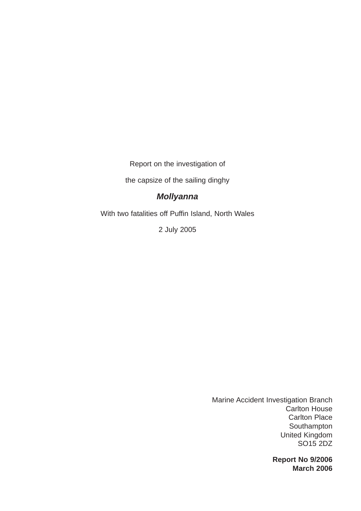Report on the investigation of

the capsize of the sailing dinghy

## *Mollyanna*

With two fatalities off Puffin Island, North Wales

2 July 2005

Marine Accident Investigation Branch Carlton House Carlton Place Southampton United Kingdom SO15 2DZ

> **Report No 9/2006 March 2006**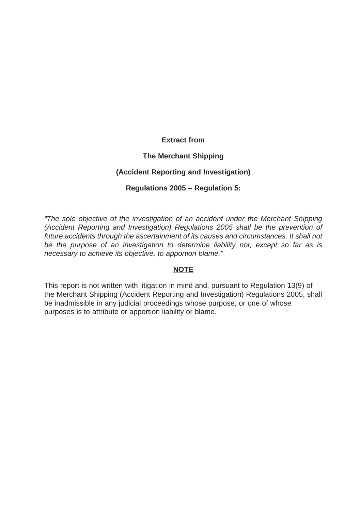## **Extract from**

## **The Merchant Shipping**

## **(Accident Reporting and Investigation)**

## **Regulations 2005 – Regulation 5:**

*"The sole objective of the investigation of an accident under the Merchant Shipping (Accident Reporting and Investigation) Regulations 2005 shall be the prevention of future accidents through the ascertainment of its causes and circumstances. It shall not be the purpose of an investigation to determine liability nor, except so far as is necessary to achieve its objective, to apportion blame."*

#### **NOTE**

This report is not written with litigation in mind and, pursuant to Regulation 13(9) of the Merchant Shipping (Accident Reporting and Investigation) Regulations 2005, shall be inadmissible in any judicial proceedings whose purpose, or one of whose purposes is to attribute or apportion liability or blame.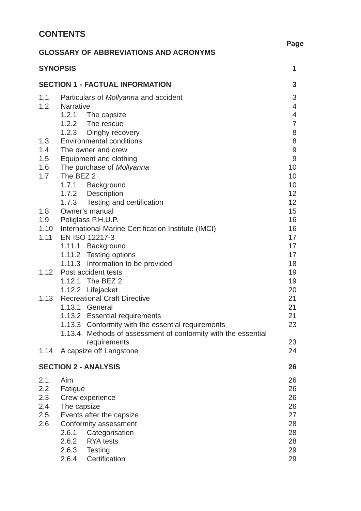# **CONTENTS**

|            |                  | <b>GLOSSARY OF ABBREVIATIONS AND ACRONYMS</b>                 | ray              |
|------------|------------------|---------------------------------------------------------------|------------------|
|            | <b>SYNOPSIS</b>  |                                                               | 1                |
|            |                  | <b>SECTION 1 - FACTUAL INFORMATION</b>                        | 3                |
| 1.1        |                  | Particulars of <i>Mollyanna</i> and accident                  | 3                |
| 1.2        | <b>Narrative</b> |                                                               | $\overline{4}$   |
|            |                  | 1.2.1 The capsize                                             | $\overline{4}$   |
|            |                  | 1.2.2 The rescue                                              | $\overline{7}$   |
|            |                  | 1.2.3 Dinghy recovery<br><b>Environmental conditions</b>      | 8<br>8           |
| 1.3<br>1.4 |                  | The owner and crew                                            | $\boldsymbol{9}$ |
| 1.5        |                  | <b>Equipment and clothing</b>                                 | $\overline{9}$   |
| 1.6        |                  | The purchase of Mollyanna                                     | 10               |
| 1.7        | The BEZ 2        |                                                               | 10               |
|            |                  | 1.7.1 Background                                              | 10               |
|            |                  | 1.7.2 Description                                             | 12               |
|            |                  | 1.7.3 Testing and certification                               | 12               |
| 1.8        |                  | Owner's manual                                                | 15               |
|            |                  | 1.9 Poliglass P.H.U.P.                                        | 16               |
|            |                  | 1.10 International Marine Certification Institute (IMCI)      | 16               |
| 1.11       |                  | EN ISO 12217-3                                                | 17               |
|            |                  | 1.11.1 Background                                             | 17               |
|            |                  | 1.11.2 Testing options                                        | 17               |
| 1.12       |                  | 1.11.3 Information to be provided<br>Post accident tests      | 18               |
|            |                  | 1.12.1 The BEZ 2                                              | 19<br>19         |
|            |                  | 1.12.2 Lifejacket                                             | 20               |
| 1.13       |                  | <b>Recreational Craft Directive</b>                           | 21               |
|            |                  | 1.13.1 General                                                | 21               |
|            |                  | 1.13.2 Essential requirements                                 | 21               |
|            |                  | 1.13.3 Conformity with the essential requirements             | 23               |
|            |                  | 1.13.4 Methods of assessment of conformity with the essential |                  |
|            |                  | requirements                                                  | 23               |
| 1.14       |                  | A capsize off Langstone                                       | 24               |
|            |                  | <b>SECTION 2 - ANALYSIS</b>                                   | 26               |
| 2.1        | Aim              |                                                               | 26               |
| 2.2        | Fatigue          |                                                               | 26               |
| 2.3        |                  | Crew experience                                               | 26               |
| 2.4        | The capsize      |                                                               | 26               |
| 2.5        |                  | Events after the capsize                                      | 27               |
| 2.6        |                  | Conformity assessment                                         | 28               |
|            | 2.6.1            | Categorisation                                                | 28               |
|            | 2.6.2            | <b>RYA</b> tests                                              | 28               |
|            | 2.6.3            | <b>Testing</b>                                                | 29               |

**Page**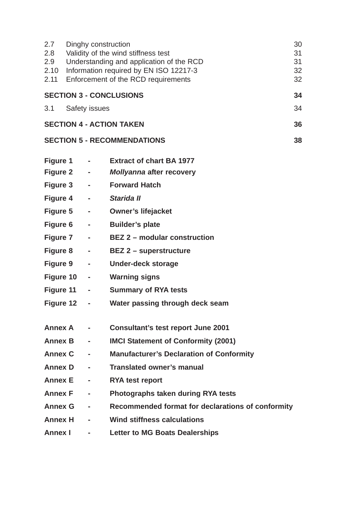| 2.7<br>2.8<br>2.9<br>2.10<br>2.11 | 30<br>Dinghy construction<br>Validity of the wind stiffness test<br>31<br>Understanding and application of the RCD<br>31<br>Information required by EN ISO 12217-3<br>32<br>Enforcement of the RCD requirements<br>32 |                              |                                                   |    |  |
|-----------------------------------|-----------------------------------------------------------------------------------------------------------------------------------------------------------------------------------------------------------------------|------------------------------|---------------------------------------------------|----|--|
|                                   |                                                                                                                                                                                                                       |                              | <b>SECTION 3 - CONCLUSIONS</b>                    | 34 |  |
| 3.1                               |                                                                                                                                                                                                                       | <b>Safety issues</b>         |                                                   | 34 |  |
|                                   |                                                                                                                                                                                                                       |                              | <b>SECTION 4 - ACTION TAKEN</b>                   | 36 |  |
|                                   |                                                                                                                                                                                                                       |                              | <b>SECTION 5 - RECOMMENDATIONS</b>                | 38 |  |
| Figure 1                          |                                                                                                                                                                                                                       | <b>Contract Contract</b>     | <b>Extract of chart BA 1977</b>                   |    |  |
|                                   | Figure 2 -                                                                                                                                                                                                            |                              | <b>Mollyanna after recovery</b>                   |    |  |
|                                   | Figure 3 -                                                                                                                                                                                                            |                              | <b>Forward Hatch</b>                              |    |  |
|                                   | Figure 4 -                                                                                                                                                                                                            |                              | Starida II                                        |    |  |
|                                   | Figure 5 -                                                                                                                                                                                                            |                              | <b>Owner's lifejacket</b>                         |    |  |
|                                   | Figure 6 -                                                                                                                                                                                                            |                              | <b>Builder's plate</b>                            |    |  |
|                                   | Figure 7 -                                                                                                                                                                                                            |                              | <b>BEZ 2 - modular construction</b>               |    |  |
|                                   | Figure 8 -                                                                                                                                                                                                            |                              | <b>BEZ 2 – superstructure</b>                     |    |  |
|                                   | Figure 9 -                                                                                                                                                                                                            |                              | <b>Under-deck storage</b>                         |    |  |
|                                   | Figure 10 -                                                                                                                                                                                                           |                              | <b>Warning signs</b>                              |    |  |
|                                   | Figure 11 -                                                                                                                                                                                                           |                              | <b>Summary of RYA tests</b>                       |    |  |
|                                   | Figure 12 -                                                                                                                                                                                                           |                              | Water passing through deck seam                   |    |  |
| <b>Annex A</b>                    |                                                                                                                                                                                                                       |                              | <b>Consultant's test report June 2001</b>         |    |  |
| <b>Annex B</b>                    |                                                                                                                                                                                                                       | $\blacksquare$               | <b>IMCI Statement of Conformity (2001)</b>        |    |  |
| <b>Annex C</b>                    |                                                                                                                                                                                                                       |                              | <b>Manufacturer's Declaration of Conformity</b>   |    |  |
| <b>Annex D</b>                    |                                                                                                                                                                                                                       | $\sim$                       | <b>Translated owner's manual</b>                  |    |  |
| <b>Annex E</b>                    |                                                                                                                                                                                                                       | $\blacksquare$               | <b>RYA test report</b>                            |    |  |
| <b>Annex F</b>                    |                                                                                                                                                                                                                       | $\qquad \qquad \blacksquare$ | Photographs taken during RYA tests                |    |  |
| <b>Annex G</b>                    |                                                                                                                                                                                                                       | $\blacksquare$               | Recommended format for declarations of conformity |    |  |
| <b>Annex H</b>                    |                                                                                                                                                                                                                       | $\blacksquare$               | <b>Wind stiffness calculations</b>                |    |  |
| <b>Annex I</b>                    |                                                                                                                                                                                                                       |                              | <b>Letter to MG Boats Dealerships</b>             |    |  |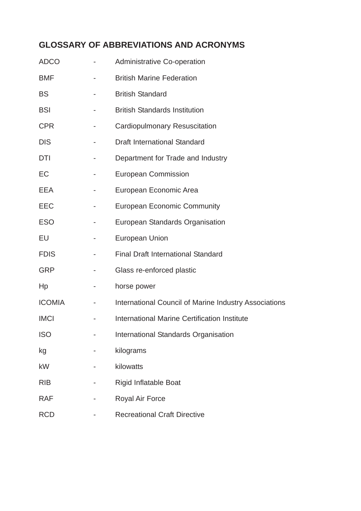# **GLOSSARY OF ABBREVIATIONS AND ACRONYMS**

| <b>ADCO</b>   |   | <b>Administrative Co-operation</b>                    |
|---------------|---|-------------------------------------------------------|
| <b>BMF</b>    |   | <b>British Marine Federation</b>                      |
| <b>BS</b>     |   | <b>British Standard</b>                               |
| <b>BSI</b>    |   | <b>British Standards Institution</b>                  |
| <b>CPR</b>    |   | <b>Cardiopulmonary Resuscitation</b>                  |
| <b>DIS</b>    |   | <b>Draft International Standard</b>                   |
| <b>DTI</b>    |   | Department for Trade and Industry                     |
| EC            | ۰ | <b>European Commission</b>                            |
| EEA           |   | European Economic Area                                |
| EEC           |   | <b>European Economic Community</b>                    |
| <b>ESO</b>    |   | European Standards Organisation                       |
| EU            |   | <b>European Union</b>                                 |
| <b>FDIS</b>   |   | <b>Final Draft International Standard</b>             |
| <b>GRP</b>    |   | Glass re-enforced plastic                             |
| Hp            |   | horse power                                           |
| <b>ICOMIA</b> |   | International Council of Marine Industry Associations |
| <b>IMCI</b>   |   | <b>International Marine Certification Institute</b>   |
| <b>ISO</b>    |   | International Standards Organisation                  |
| kg            |   | kilograms                                             |
| <b>kW</b>     |   | kilowatts                                             |
| <b>RIB</b>    |   | <b>Rigid Inflatable Boat</b>                          |
| <b>RAF</b>    |   | <b>Royal Air Force</b>                                |
| <b>RCD</b>    |   | <b>Recreational Craft Directive</b>                   |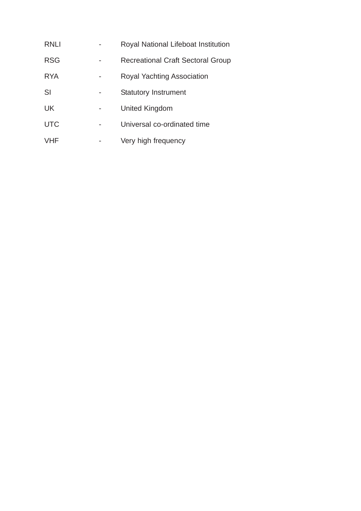| RNLI       | Royal National Lifeboat Institution      |
|------------|------------------------------------------|
| <b>RSG</b> | <b>Recreational Craft Sectoral Group</b> |
| <b>RYA</b> | Royal Yachting Association               |
| SI         | <b>Statutory Instrument</b>              |
| <b>UK</b>  | United Kingdom                           |
| <b>UTC</b> | Universal co-ordinated time              |
| <b>VHF</b> | Very high frequency                      |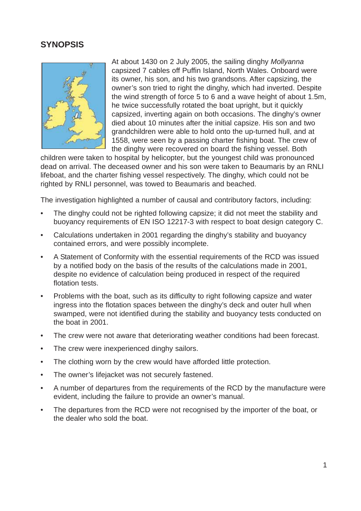## **SYNOPSIS**



At about 1430 on 2 July 2005, the sailing dinghy *Mollyanna* capsized 7 cables off Puffin Island, North Wales. Onboard were its owner, his son, and his two grandsons. After capsizing, the owner's son tried to right the dinghy, which had inverted. Despite the wind strength of force 5 to 6 and a wave height of about 1.5m, he twice successfully rotated the boat upright, but it quickly capsized, inverting again on both occasions. The dinghy's owner died about 10 minutes after the initial capsize. His son and two grandchildren were able to hold onto the up-turned hull, and at 1558, were seen by a passing charter fishing boat. The crew of the dinghy were recovered on board the fishing vessel. Both

children were taken to hospital by helicopter, but the youngest child was pronounced dead on arrival. The deceased owner and his son were taken to Beaumaris by an RNLI lifeboat, and the charter fishing vessel respectively. The dinghy, which could not be righted by RNLI personnel, was towed to Beaumaris and beached.

The investigation highlighted a number of causal and contributory factors, including:

- The dinghy could not be righted following capsize; it did not meet the stability and buoyancy requirements of EN ISO 12217-3 with respect to boat design category C.
- Calculations undertaken in 2001 regarding the dinghy's stability and buoyancy contained errors, and were possibly incomplete.
- A Statement of Conformity with the essential requirements of the RCD was issued by a notified body on the basis of the results of the calculations made in 2001, despite no evidence of calculation being produced in respect of the required flotation tests.
- Problems with the boat, such as its difficulty to right following capsize and water ingress into the flotation spaces between the dinghy's deck and outer hull when swamped, were not identified during the stability and buoyancy tests conducted on the boat in 2001.
- The crew were not aware that deteriorating weather conditions had been forecast.
- The crew were inexperienced dinghy sailors.
- The clothing worn by the crew would have afforded little protection.
- The owner's lifejacket was not securely fastened.
- A number of departures from the requirements of the RCD by the manufacture were evident, including the failure to provide an owner's manual.
- The departures from the RCD were not recognised by the importer of the boat, or the dealer who sold the boat.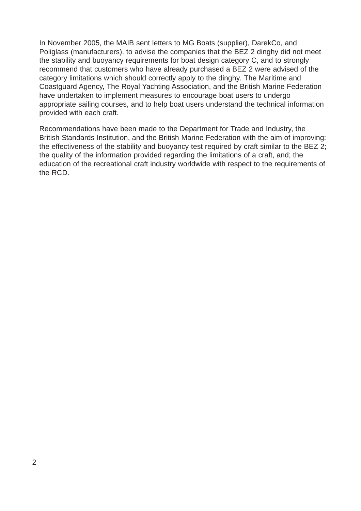In November 2005, the MAIB sent letters to MG Boats (supplier), DarekCo, and Poliglass (manufacturers), to advise the companies that the BEZ 2 dinghy did not meet the stability and buoyancy requirements for boat design category C, and to strongly recommend that customers who have already purchased a BEZ 2 were advised of the category limitations which should correctly apply to the dinghy*.* The Maritime and Coastguard Agency, The Royal Yachting Association, and the British Marine Federation have undertaken to implement measures to encourage boat users to undergo appropriate sailing courses, and to help boat users understand the technical information provided with each craft.

Recommendations have been made to the Department for Trade and Industry, the British Standards Institution, and the British Marine Federation with the aim of improving: the effectiveness of the stability and buoyancy test required by craft similar to the BEZ 2; the quality of the information provided regarding the limitations of a craft, and; the education of the recreational craft industry worldwide with respect to the requirements of the RCD.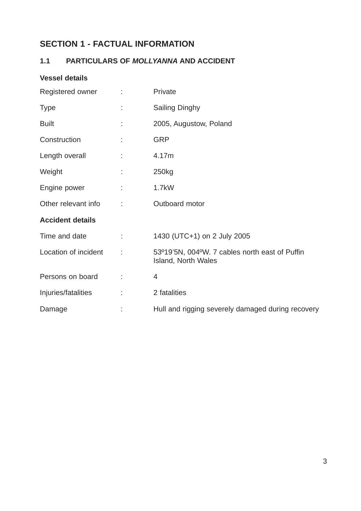# **SECTION 1 - FACTUAL INFORMATION**

## **1.1 PARTICULARS OF** *MOLLYANNA* **AND ACCIDENT**

## **Vessel details**

| Registered owner        |    | Private                                                                      |
|-------------------------|----|------------------------------------------------------------------------------|
| <b>Type</b>             |    | <b>Sailing Dinghy</b>                                                        |
| <b>Built</b>            |    | 2005, Augustow, Poland                                                       |
| Construction            |    | <b>GRP</b>                                                                   |
| Length overall          |    | 4.17m                                                                        |
| Weight                  |    | 250kg                                                                        |
| Engine power            |    | 1.7kW                                                                        |
| Other relevant info     | t  | Outboard motor                                                               |
| <b>Accident details</b> |    |                                                                              |
| Time and date           | ÷. | 1430 (UTC+1) on 2 July 2005                                                  |
| Location of incident    |    | 53°19'5N, 004°W. 7 cables north east of Puffin<br><b>Island, North Wales</b> |
| Persons on board        |    | $\overline{4}$                                                               |
| Injuries/fatalities     | ÷. | 2 fatalities                                                                 |
| Damage                  |    | Hull and rigging severely damaged during recovery                            |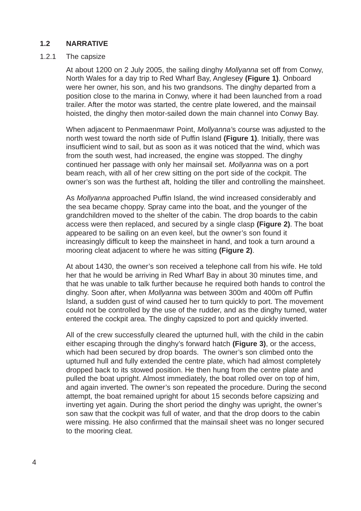## **1.2 NARRATIVE**

#### 1.2.1 The capsize

At about 1200 on 2 July 2005, the sailing dinghy *Mollyanna* set off from Conwy, North Wales for a day trip to Red Wharf Bay, Anglesey **(Figure 1)**. Onboard were her owner, his son, and his two grandsons. The dinghy departed from a position close to the marina in Conwy, where it had been launched from a road trailer. After the motor was started, the centre plate lowered, and the mainsail hoisted, the dinghy then motor-sailed down the main channel into Conwy Bay.

When adjacent to Penmaenmawr Point, *Mollyanna'*s course was adjusted to the north west toward the north side of Puffin Island **(Figure 1)**. Initially, there was insufficient wind to sail, but as soon as it was noticed that the wind, which was from the south west, had increased, the engine was stopped. The dinghy continued her passage with only her mainsail set. *Mollyanna* was on a port beam reach, with all of her crew sitting on the port side of the cockpit. The owner's son was the furthest aft, holding the tiller and controlling the mainsheet.

As *Mollyanna* approached Puffin Island, the wind increased considerably and the sea became choppy. Spray came into the boat, and the younger of the grandchildren moved to the shelter of the cabin. The drop boards to the cabin access were then replaced, and secured by a single clasp **(Figure 2)**. The boat appeared to be sailing on an even keel, but the owner's son found it increasingly difficult to keep the mainsheet in hand, and took a turn around a mooring cleat adjacent to where he was sitting **(Figure 2)**.

At about 1430, the owner's son received a telephone call from his wife. He told her that he would be arriving in Red Wharf Bay in about 30 minutes time, and that he was unable to talk further because he required both hands to control the dinghy. Soon after, when *Mollyanna* was between 300m and 400m off Puffin Island, a sudden gust of wind caused her to turn quickly to port. The movement could not be controlled by the use of the rudder, and as the dinghy turned, water entered the cockpit area. The dinghy capsized to port and quickly inverted.

All of the crew successfully cleared the upturned hull, with the child in the cabin either escaping through the dinghy's forward hatch **(Figure 3)**, or the access, which had been secured by drop boards. The owner's son climbed onto the upturned hull and fully extended the centre plate, which had almost completely dropped back to its stowed position. He then hung from the centre plate and pulled the boat upright. Almost immediately, the boat rolled over on top of him, and again inverted. The owner's son repeated the procedure. During the second attempt, the boat remained upright for about 15 seconds before capsizing and inverting yet again. During the short period the dinghy was upright, the owner's son saw that the cockpit was full of water, and that the drop doors to the cabin were missing. He also confirmed that the mainsail sheet was no longer secured to the mooring cleat.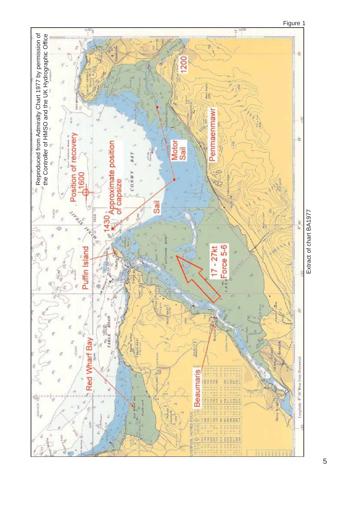

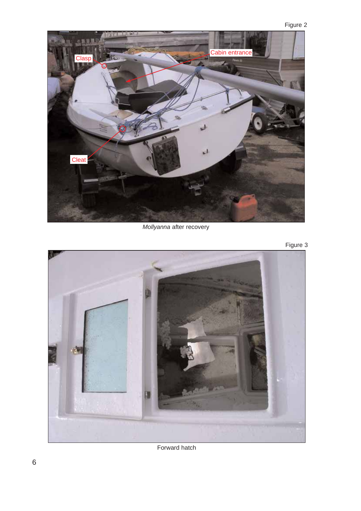

*Mollyanna* after recovery





Forward hatch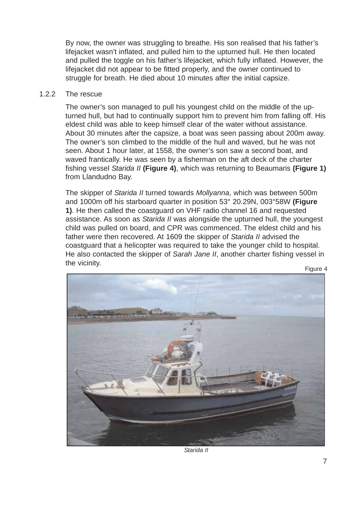By now, the owner was struggling to breathe. His son realised that his father's lifejacket wasn't inflated, and pulled him to the upturned hull. He then located and pulled the toggle on his father's lifejacket, which fully inflated. However, the lifejacket did not appear to be fitted properly, and the owner continued to struggle for breath. He died about 10 minutes after the initial capsize.

#### 1.2.2 The rescue

The owner's son managed to pull his youngest child on the middle of the upturned hull, but had to continually support him to prevent him from falling off. His eldest child was able to keep himself clear of the water without assistance. About 30 minutes after the capsize, a boat was seen passing about 200m away. The owner's son climbed to the middle of the hull and waved, but he was not seen. About 1 hour later, at 1558, the owner's son saw a second boat, and waved frantically. He was seen by a fisherman on the aft deck of the charter fishing vessel *Starida II* **(Figure 4)**, which was returning to Beaumaris **(Figure 1)** from Llandudno Bay.

The skipper of *Starida II* turned towards *Mollyanna*, which was between 500m and 1000m off his starboard quarter in position 53° 20.29N, 003°58W **(Figure 1)**. He then called the coastguard on VHF radio channel 16 and requested assistance. As soon as *Starida II* was alongside the upturned hull, the youngest child was pulled on board, and CPR was commenced. The eldest child and his father were then recovered. At 1609 the skipper of *Starida II* advised the coastguard that a helicopter was required to take the younger child to hospital. He also contacted the skipper of *Sarah Jane II*, another charter fishing vessel in the vicinity. Figure 4



*Starida II*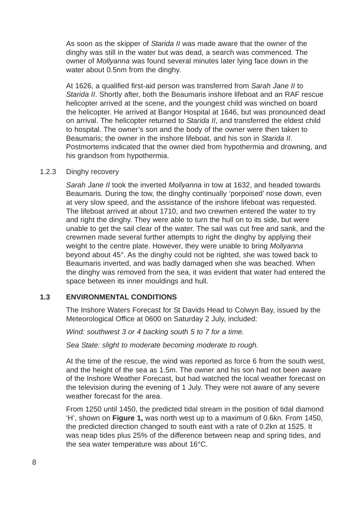As soon as the skipper of *Starida II* was made aware that the owner of the dinghy was still in the water but was dead, a search was commenced. The owner of *Mollyanna* was found several minutes later lying face down in the water about 0.5nm from the dinghy.

At 1626, a qualified first-aid person was transferred from *Sarah Jane II* to *Starida II*. Shortly after, both the Beaumaris inshore lifeboat and an RAF rescue helicopter arrived at the scene, and the youngest child was winched on board the helicopter. He arrived at Bangor Hospital at 1646, but was pronounced dead on arrival. The helicopter returned to *Starida II*, and transferred the eldest child to hospital. The owner's son and the body of the owner were then taken to Beaumaris; the owner in the inshore lifeboat, and his son in *Starida II*. Postmortems indicated that the owner died from hypothermia and drowning, and his grandson from hypothermia.

#### 1.2.3 Dinghy recovery

*Sarah Jane II* took the inverted *Mollyanna* in tow at 1632, and headed towards Beaumaris. During the tow, the dinghy continually 'porpoised' nose down, even at very slow speed, and the assistance of the inshore lifeboat was requested. The lifeboat arrived at about 1710, and two crewmen entered the water to try and right the dinghy. They were able to turn the hull on to its side, but were unable to get the sail clear of the water. The sail was cut free and sank, and the crewmen made several further attempts to right the dinghy by applying their weight to the centre plate. However, they were unable to bring *Mollyanna* beyond about 45°. As the dinghy could not be righted, she was towed back to Beaumaris inverted, and was badly damaged when she was beached. When the dinghy was removed from the sea, it was evident that water had entered the space between its inner mouldings and hull.

#### **1.3 ENVIRONMENTAL CONDITIONS**

The Inshore Waters Forecast for St Davids Head to Colwyn Bay, issued by the Meteorological Office at 0600 on Saturday 2 July, included:

*Wind: southwest 3 or 4 backing south 5 to 7 for a time.*

*Sea State: slight to moderate becoming moderate to rough.*

At the time of the rescue, the wind was reported as force 6 from the south west, and the height of the sea as 1.5m. The owner and his son had not been aware of the Inshore Weather Forecast, but had watched the local weather forecast on the television during the evening of 1 July. They were not aware of any severe weather forecast for the area.

From 1250 until 1450, the predicted tidal stream in the position of tidal diamond 'H', shown on **Figure 1,** was north west up to a maximum of 0.6kn. From 1450, the predicted direction changed to south east with a rate of 0.2kn at 1525. It was neap tides plus 25% of the difference between neap and spring tides, and the sea water temperature was about 16°C.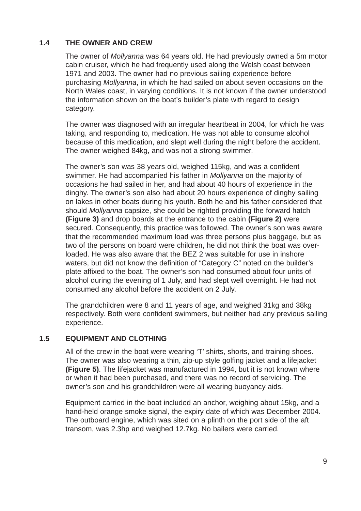## **1.4 THE OWNER AND CREW**

The owner of *Mollyanna* was 64 years old. He had previously owned a 5m motor cabin cruiser, which he had frequently used along the Welsh coast between 1971 and 2003. The owner had no previous sailing experience before purchasing *Mollyanna*, in which he had sailed on about seven occasions on the North Wales coast, in varying conditions. It is not known if the owner understood the information shown on the boat's builder's plate with regard to design category.

The owner was diagnosed with an irregular heartbeat in 2004, for which he was taking, and responding to, medication. He was not able to consume alcohol because of this medication, and slept well during the night before the accident. The owner weighed 84kg, and was not a strong swimmer.

The owner's son was 38 years old, weighed 115kg, and was a confident swimmer. He had accompanied his father in *Mollyanna* on the majority of occasions he had sailed in her, and had about 40 hours of experience in the dinghy. The owner's son also had about 20 hours experience of dinghy sailing on lakes in other boats during his youth. Both he and his father considered that should *Mollyanna* capsize, she could be righted providing the forward hatch **(Figure 3)** and drop boards at the entrance to the cabin **(Figure 2)** were secured. Consequently, this practice was followed. The owner's son was aware that the recommended maximum load was three persons plus baggage, but as two of the persons on board were children, he did not think the boat was overloaded. He was also aware that the BEZ 2 was suitable for use in inshore waters, but did not know the definition of "Category C" noted on the builder's plate affixed to the boat. The owner's son had consumed about four units of alcohol during the evening of 1 July, and had slept well overnight. He had not consumed any alcohol before the accident on 2 July.

The grandchildren were 8 and 11 years of age, and weighed 31kg and 38kg respectively. Both were confident swimmers, but neither had any previous sailing experience.

### **1.5 EQUIPMENT AND CLOTHING**

All of the crew in the boat were wearing 'T' shirts, shorts, and training shoes. The owner was also wearing a thin, zip-up style golfing jacket and a lifejacket **(Figure 5)**. The lifejacket was manufactured in 1994, but it is not known where or when it had been purchased, and there was no record of servicing. The owner's son and his grandchildren were all wearing buoyancy aids.

Equipment carried in the boat included an anchor, weighing about 15kg, and a hand-held orange smoke signal, the expiry date of which was December 2004. The outboard engine, which was sited on a plinth on the port side of the aft transom, was 2.3hp and weighed 12.7kg. No bailers were carried.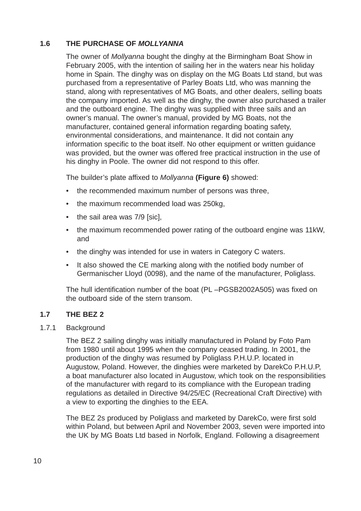## **1.6 THE PURCHASE OF** *MOLLYANNA*

The owner of *Mollyanna* bought the dinghy at the Birmingham Boat Show in February 2005, with the intention of sailing her in the waters near his holiday home in Spain. The dinghy was on display on the MG Boats Ltd stand, but was purchased from a representative of Parley Boats Ltd, who was manning the stand, along with representatives of MG Boats, and other dealers, selling boats the company imported. As well as the dinghy, the owner also purchased a trailer and the outboard engine. The dinghy was supplied with three sails and an owner's manual. The owner's manual, provided by MG Boats, not the manufacturer, contained general information regarding boating safety, environmental considerations, and maintenance. It did not contain any information specific to the boat itself. No other equipment or written guidance was provided, but the owner was offered free practical instruction in the use of his dinghy in Poole. The owner did not respond to this offer.

The builder's plate affixed to *Mollyanna* **(Figure 6)** showed:

- the recommended maximum number of persons was three,
- the maximum recommended load was 250kg.
- the sail area was 7/9 [sic],
- the maximum recommended power rating of the outboard engine was 11kW, and
- the dinghy was intended for use in waters in Category C waters.
- It also showed the CE marking along with the notified body number of Germanischer Lloyd (0098), and the name of the manufacturer, Poliglass.

The hull identification number of the boat (PL –PGSB2002A505) was fixed on the outboard side of the stern transom.

## **1.7 THE BEZ 2**

1.7.1 Background

The BEZ 2 sailing dinghy was initially manufactured in Poland by Foto Pam from 1980 until about 1995 when the company ceased trading. In 2001, the production of the dinghy was resumed by Poliglass P.H.U.P. located in Augustow, Poland. However, the dinghies were marketed by DarekCo P.H.U.P, a boat manufacturer also located in Augustow, which took on the responsibilities of the manufacturer with regard to its compliance with the European trading regulations as detailed in Directive 94/25/EC (Recreational Craft Directive) with a view to exporting the dinghies to the EEA.

The BEZ 2s produced by Poliglass and marketed by DarekCo, were first sold within Poland, but between April and November 2003, seven were imported into the UK by MG Boats Ltd based in Norfolk, England. Following a disagreement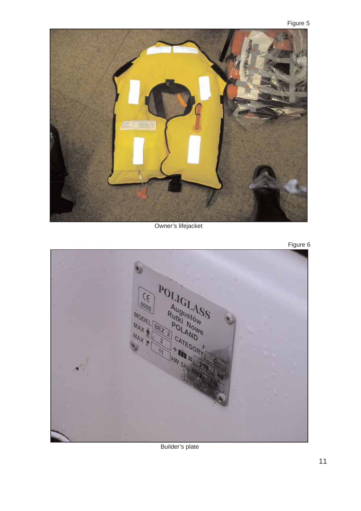

Owner's lifejacket





Builder's plate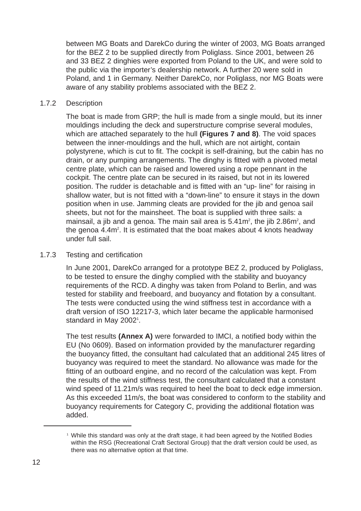between MG Boats and DarekCo during the winter of 2003, MG Boats arranged for the BEZ 2 to be supplied directly from Poliglass. Since 2001, between 26 and 33 BEZ 2 dinghies were exported from Poland to the UK, and were sold to the public via the importer's dealership network. A further 20 were sold in Poland, and 1 in Germany. Neither DarekCo, nor Poliglass, nor MG Boats were aware of any stability problems associated with the BEZ 2.

#### 1.7.2 Description

The boat is made from GRP; the hull is made from a single mould, but its inner mouldings including the deck and superstructure comprise several modules, which are attached separately to the hull **(Figures 7 and 8)**. The void spaces between the inner-mouldings and the hull, which are not airtight, contain polystyrene, which is cut to fit. The cockpit is self-draining, but the cabin has no drain, or any pumping arrangements. The dinghy is fitted with a pivoted metal centre plate, which can be raised and lowered using a rope pennant in the cockpit. The centre plate can be secured in its raised, but not in its lowered position. The rudder is detachable and is fitted with an "up- line" for raising in shallow water, but is not fitted with a "down-line" to ensure it stays in the down position when in use. Jamming cleats are provided for the jib and genoa sail sheets, but not for the mainsheet. The boat is supplied with three sails: a mainsail, a jib and a genoa. The main sail area is  $5.41\,\mathrm{m}^2$ , the jib  $2.86\,\mathrm{m}^2$ , and the genoa 4.4m<sup>2</sup>. It is estimated that the boat makes about 4 knots headway under full sail.

#### 1.7.3 Testing and certification

In June 2001, DarekCo arranged for a prototype BEZ 2, produced by Poliglass, to be tested to ensure the dinghy complied with the stability and buoyancy requirements of the RCD. A dinghy was taken from Poland to Berlin, and was tested for stability and freeboard, and buoyancy and flotation by a consultant. The tests were conducted using the wind stiffness test in accordance with a draft version of ISO 12217-3, which later became the applicable harmonised standard in May 2002<sup>1</sup>.

The test results **(Annex A)** were forwarded to IMCI, a notified body within the EU (No 0609). Based on information provided by the manufacturer regarding the buoyancy fitted, the consultant had calculated that an additional 245 litres of buoyancy was required to meet the standard. No allowance was made for the fitting of an outboard engine, and no record of the calculation was kept. From the results of the wind stiffness test, the consultant calculated that a constant wind speed of 11.21m/s was required to heel the boat to deck edge immersion. As this exceeded 11m/s, the boat was considered to conform to the stability and buoyancy requirements for Category C, providing the additional flotation was added.

<sup>1</sup> While this standard was only at the draft stage, it had been agreed by the Notified Bodies within the RSG (Recreational Craft Sectoral Group) that the draft version could be used, as there was no alternative option at that time.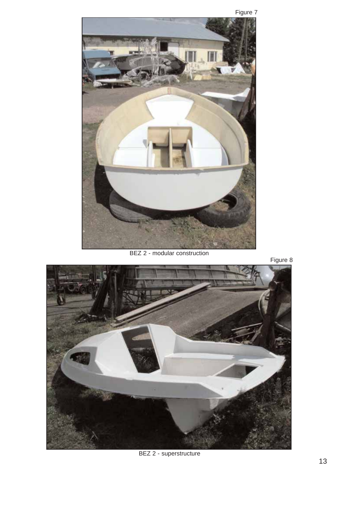

BEZ 2 - modular construction





BEZ 2 - superstructure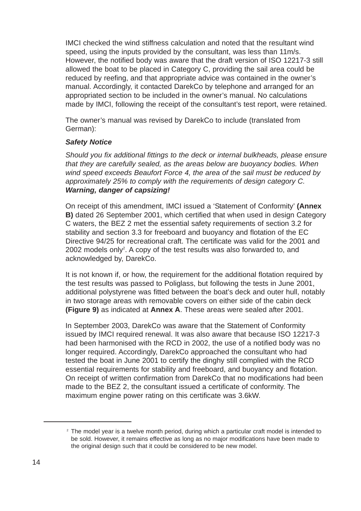IMCI checked the wind stiffness calculation and noted that the resultant wind speed, using the inputs provided by the consultant, was less than 11m/s. However, the notified body was aware that the draft version of ISO 12217-3 still allowed the boat to be placed in Category C, providing the sail area could be reduced by reefing, and that appropriate advice was contained in the owner's manual. Accordingly, it contacted DarekCo by telephone and arranged for an appropriated section to be included in the owner's manual. No calculations made by IMCI, following the receipt of the consultant's test report, were retained.

The owner's manual was revised by DarekCo to include (translated from German):

#### *Safety Notice*

*Should you fix additional fittings to the deck or internal bulkheads, please ensure that they are carefully sealed, as the areas below are buoyancy bodies. When wind speed exceeds Beaufort Force 4, the area of the sail must be reduced by approximately 25% to comply with the requirements of design category C. Warning, danger of capsizing!*

On receipt of this amendment, IMCI issued a 'Statement of Conformity' **(Annex B)** dated 26 September 2001, which certified that when used in design Category C waters, the BEZ 2 met the essential safety requirements of section 3.2 for stability and section 3.3 for freeboard and buoyancy and flotation of the EC Directive 94/25 for recreational craft. The certificate was valid for the 2001 and 2002 models only<sup>2</sup>. A copy of the test results was also forwarded to, and acknowledged by, DarekCo.

It is not known if, or how, the requirement for the additional flotation required by the test results was passed to Poliglass, but following the tests in June 2001, additional polystyrene was fitted between the boat's deck and outer hull, notably in two storage areas with removable covers on either side of the cabin deck **(Figure 9)** as indicated at **Annex A**. These areas were sealed after 2001.

In September 2003, DarekCo was aware that the Statement of Conformity issued by IMCI required renewal. It was also aware that because ISO 12217-3 had been harmonised with the RCD in 2002, the use of a notified body was no longer required. Accordingly, DarekCo approached the consultant who had tested the boat in June 2001 to certify the dinghy still complied with the RCD essential requirements for stability and freeboard, and buoyancy and flotation. On receipt of written confirmation from DarekCo that no modifications had been made to the BEZ 2, the consultant issued a certificate of conformity. The maximum engine power rating on this certificate was 3.6kW.

 $2$  The model year is a twelve month period, during which a particular craft model is intended to be sold. However, it remains effective as long as no major modifications have been made to the original design such that it could be considered to be new model.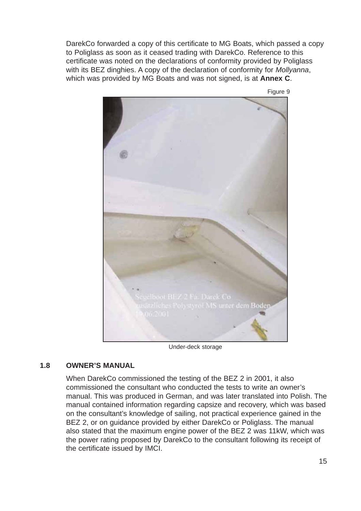DarekCo forwarded a copy of this certificate to MG Boats, which passed a copy to Poliglass as soon as it ceased trading with DarekCo. Reference to this certificate was noted on the declarations of conformity provided by Poliglass with its BEZ dinghies. A copy of the declaration of conformity for *Mollyanna*, which was provided by MG Boats and was not signed, is at **Annex C**.



Under-deck storage

## **1.8 OWNER'S MANUAL**

When DarekCo commissioned the testing of the BEZ 2 in 2001, it also commissioned the consultant who conducted the tests to write an owner's manual. This was produced in German, and was later translated into Polish. The manual contained information regarding capsize and recovery, which was based on the consultant's knowledge of sailing, not practical experience gained in the BEZ 2, or on guidance provided by either DarekCo or Poliglass. The manual also stated that the maximum engine power of the BEZ 2 was 11kW, which was the power rating proposed by DarekCo to the consultant following its receipt of the certificate issued by IMCI.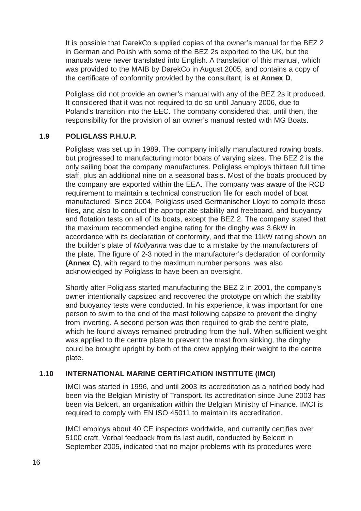It is possible that DarekCo supplied copies of the owner's manual for the BEZ 2 in German and Polish with some of the BEZ 2s exported to the UK, but the manuals were never translated into English. A translation of this manual, which was provided to the MAIB by DarekCo in August 2005, and contains a copy of the certificate of conformity provided by the consultant, is at **Annex D**.

Poliglass did not provide an owner's manual with any of the BEZ 2s it produced. It considered that it was not required to do so until January 2006, due to Poland's transition into the EEC. The company considered that, until then, the responsibility for the provision of an owner's manual rested with MG Boats.

#### **1.9 POLIGLASS P.H.U.P.**

Poliglass was set up in 1989. The company initially manufactured rowing boats, but progressed to manufacturing motor boats of varying sizes. The BEZ 2 is the only sailing boat the company manufactures. Poliglass employs thirteen full time staff, plus an additional nine on a seasonal basis. Most of the boats produced by the company are exported within the EEA. The company was aware of the RCD requirement to maintain a technical construction file for each model of boat manufactured. Since 2004, Poliglass used Germanischer Lloyd to compile these files, and also to conduct the appropriate stability and freeboard, and buoyancy and flotation tests on all of its boats, except the BEZ 2. The company stated that the maximum recommended engine rating for the dinghy was 3.6kW in accordance with its declaration of conformity, and that the 11kW rating shown on the builder's plate of *Mollyanna* was due to a mistake by the manufacturers of the plate. The figure of 2-3 noted in the manufacturer's declaration of conformity **(Annex C)**, with regard to the maximum number persons, was also acknowledged by Poliglass to have been an oversight.

Shortly after Poliglass started manufacturing the BEZ 2 in 2001, the company's owner intentionally capsized and recovered the prototype on which the stability and buoyancy tests were conducted. In his experience, it was important for one person to swim to the end of the mast following capsize to prevent the dinghy from inverting. A second person was then required to grab the centre plate, which he found always remained protruding from the hull. When sufficient weight was applied to the centre plate to prevent the mast from sinking, the dinghy could be brought upright by both of the crew applying their weight to the centre plate.

## **1.10 INTERNATIONAL MARINE CERTIFICATION INSTITUTE (IMCI)**

IMCI was started in 1996, and until 2003 its accreditation as a notified body had been via the Belgian Ministry of Transport. Its accreditation since June 2003 has been via Belcert, an organisation within the Belgian Ministry of Finance. IMCI is required to comply with EN ISO 45011 to maintain its accreditation.

IMCI employs about 40 CE inspectors worldwide, and currently certifies over 5100 craft. Verbal feedback from its last audit, conducted by Belcert in September 2005, indicated that no major problems with its procedures were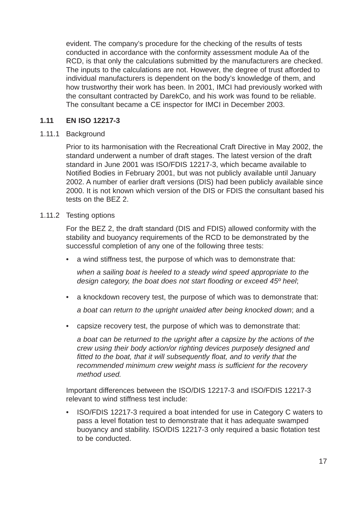evident. The company's procedure for the checking of the results of tests conducted in accordance with the conformity assessment module Aa of the RCD, is that only the calculations submitted by the manufacturers are checked. The inputs to the calculations are not. However, the degree of trust afforded to individual manufacturers is dependent on the body's knowledge of them, and how trustworthy their work has been. In 2001, IMCI had previously worked with the consultant contracted by DarekCo, and his work was found to be reliable. The consultant became a CE inspector for IMCI in December 2003.

## **1.11 EN ISO 12217-3**

## 1.11.1 Background

Prior to its harmonisation with the Recreational Craft Directive in May 2002, the standard underwent a number of draft stages. The latest version of the draft standard in June 2001 was ISO/FDIS 12217-3, which became available to Notified Bodies in February 2001, but was not publicly available until January 2002. A number of earlier draft versions (DIS) had been publicly available since 2000. It is not known which version of the DIS or FDIS the consultant based his tests on the BEZ 2.

## 1.11.2 Testing options

For the BEZ 2, the draft standard (DIS and FDIS) allowed conformity with the stability and buoyancy requirements of the RCD to be demonstrated by the successful completion of any one of the following three tests:

a wind stiffness test, the purpose of which was to demonstrate that:

*when a sailing boat is heeled to a steady wind speed appropriate to the design category, the boat does not start flooding or exceed 45º heel*;

• a knockdown recovery test, the purpose of which was to demonstrate that:

*a boat can return to the upright unaided after being knocked down*; and a

• capsize recovery test, the purpose of which was to demonstrate that:

*a boat can be returned to the upright after a capsize by the actions of the crew using their body action/or righting devices purposely designed and fitted to the boat, that it will subsequently float, and to verify that the recommended minimum crew weight mass is sufficient for the recovery method used.*

Important differences between the ISO/DIS 12217-3 and ISO/FDIS 12217-3 relevant to wind stiffness test include:

• ISO/FDIS 12217-3 required a boat intended for use in Category C waters to pass a level flotation test to demonstrate that it has adequate swamped buoyancy and stability. ISO/DIS 12217-3 only required a basic flotation test to be conducted.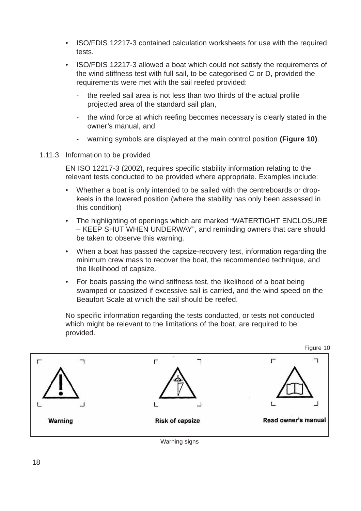- ISO/FDIS 12217-3 contained calculation worksheets for use with the required tests.
- ISO/FDIS 12217-3 allowed a boat which could not satisfy the requirements of the wind stiffness test with full sail, to be categorised C or D, provided the requirements were met with the sail reefed provided:
	- the reefed sail area is not less than two thirds of the actual profile projected area of the standard sail plan,
	- the wind force at which reefing becomes necessary is clearly stated in the owner's manual, and
	- warning symbols are displayed at the main control position **(Figure 10)**.
- 1.11.3 Information to be provided

EN ISO 12217-3 (2002), requires specific stability information relating to the relevant tests conducted to be provided where appropriate. Examples include:

- Whether a boat is only intended to be sailed with the centreboards or dropkeels in the lowered position (where the stability has only been assessed in this condition)
- The highlighting of openings which are marked "WATERTIGHT ENCLOSURE – KEEP SHUT WHEN UNDERWAY", and reminding owners that care should be taken to observe this warning.
- When a boat has passed the capsize-recovery test, information regarding the minimum crew mass to recover the boat, the recommended technique, and the likelihood of capsize.
- For boats passing the wind stiffness test, the likelihood of a boat being swamped or capsized if excessive sail is carried, and the wind speed on the Beaufort Scale at which the sail should be reefed.

No specific information regarding the tests conducted, or tests not conducted which might be relevant to the limitations of the boat, are required to be provided.

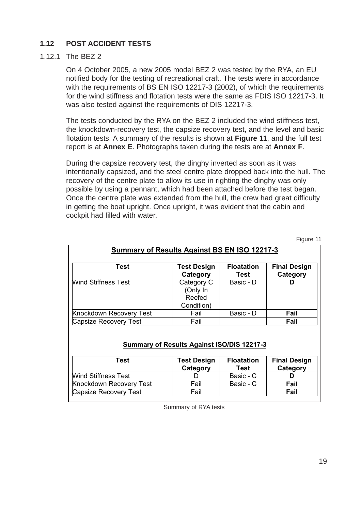## **1.12 POST ACCIDENT TESTS**

## 1.12.1 The BEZ 2

On 4 October 2005, a new 2005 model BEZ 2 was tested by the RYA, an EU notified body for the testing of recreational craft. The tests were in accordance with the requirements of BS EN ISO 12217-3 (2002), of which the requirements for the wind stiffness and flotation tests were the same as FDIS ISO 12217-3. It was also tested against the requirements of DIS 12217-3.

The tests conducted by the RYA on the BEZ 2 included the wind stiffness test, the knockdown-recovery test, the capsize recovery test, and the level and basic flotation tests. A summary of the results is shown at **Figure 11**, and the full test report is at **Annex E**. Photographs taken during the tests are at **Annex F**.

During the capsize recovery test, the dinghy inverted as soon as it was intentionally capsized, and the steel centre plate dropped back into the hull. The recovery of the centre plate to allow its use in righting the dinghy was only possible by using a pennant, which had been attached before the test began. Once the centre plate was extended from the hull, the crew had great difficulty in getting the boat upright. Once upright, it was evident that the cabin and cockpit had filled with water.

Figure 11

| <b>Summary of Results Against BS EN ISO 12217-3</b> |                                                |                           |                                 |  |
|-----------------------------------------------------|------------------------------------------------|---------------------------|---------------------------------|--|
| Test                                                | <b>Test Design</b><br>Category                 | <b>Floatation</b><br>Test | <b>Final Design</b><br>Category |  |
| Wind Stiffness Test                                 | Category C<br>(Only In<br>Reefed<br>Condition) | Basic - D                 | D                               |  |
| Knockdown Recovery Test                             | Fail                                           | Basic - D                 | Fail                            |  |
| <b>Capsize Recovery Test</b>                        | Fail                                           |                           | Fail                            |  |

#### **Summary of Results Against ISO/DIS 12217-3**

| Test                       | <b>Test Design</b><br>Category | <b>Floatation</b><br>Test | <b>Final Design</b><br>Category |
|----------------------------|--------------------------------|---------------------------|---------------------------------|
| <b>Wind Stiffness Test</b> |                                | Basic - C                 |                                 |
| Knockdown Recovery Test    | Fail                           | Basic - C                 | Fail                            |
| Capsize Recovery Test      | Fail                           |                           | Fail                            |

Summary of RYA tests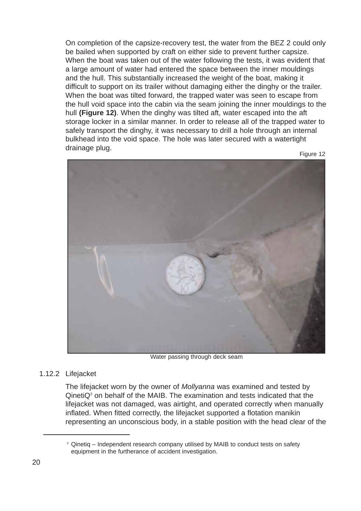On completion of the capsize-recovery test, the water from the BEZ 2 could only be bailed when supported by craft on either side to prevent further capsize. When the boat was taken out of the water following the tests, it was evident that a large amount of water had entered the space between the inner mouldings and the hull. This substantially increased the weight of the boat, making it difficult to support on its trailer without damaging either the dinghy or the trailer. When the boat was tilted forward, the trapped water was seen to escape from the hull void space into the cabin via the seam joining the inner mouldings to the hull **(Figure 12)**. When the dinghy was tilted aft, water escaped into the aft storage locker in a similar manner. In order to release all of the trapped water to safely transport the dinghy, it was necessary to drill a hole through an internal bulkhead into the void space. The hole was later secured with a watertight drainage plug.

Figure 12



Water passing through deck seam

#### 1.12.2 Lifejacket

The lifejacket worn by the owner of *Mollyanna* was examined and tested by  $Q$ ineti $Q<sup>3</sup>$  on behalf of the MAIB. The examination and tests indicated that the lifejacket was not damaged, was airtight, and operated correctly when manually inflated. When fitted correctly, the lifejacket supported a flotation manikin representing an unconscious body, in a stable position with the head clear of the

<sup>&</sup>lt;sup>3</sup> Qinetig – Independent research company utilised by MAIB to conduct tests on safety equipment in the furtherance of accident investigation.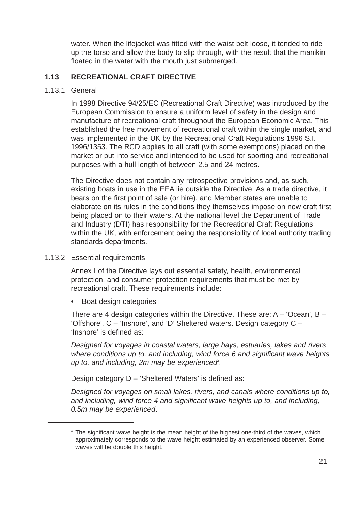water. When the lifejacket was fitted with the waist belt loose, it tended to ride up the torso and allow the body to slip through, with the result that the manikin floated in the water with the mouth just submerged.

## **1.13 RECREATIONAL CRAFT DIRECTIVE**

1.13.1 General

In 1998 Directive 94/25/EC (Recreational Craft Directive) was introduced by the European Commission to ensure a uniform level of safety in the design and manufacture of recreational craft throughout the European Economic Area. This established the free movement of recreational craft within the single market, and was implemented in the UK by the Recreational Craft Regulations 1996 S.I. 1996/1353. The RCD applies to all craft (with some exemptions) placed on the market or put into service and intended to be used for sporting and recreational purposes with a hull length of between 2.5 and 24 metres.

The Directive does not contain any retrospective provisions and, as such, existing boats in use in the EEA lie outside the Directive. As a trade directive, it bears on the first point of sale (or hire), and Member states are unable to elaborate on its rules in the conditions they themselves impose on new craft first being placed on to their waters. At the national level the Department of Trade and Industry (DTI) has responsibility for the Recreational Craft Regulations within the UK, with enforcement being the responsibility of local authority trading standards departments.

1.13.2 Essential requirements

Annex I of the Directive lays out essential safety, health, environmental protection, and consumer protection requirements that must be met by recreational craft. These requirements include:

Boat design categories

There are 4 design categories within the Directive. These are:  $A - 'Ocean'$ ,  $B -$ 'Offshore', C – 'Inshore', and 'D' Sheltered waters. Design category C – 'Inshore' is defined as:

*Designed for voyages in coastal waters, large bays, estuaries, lakes and rivers where conditions up to, and including, wind force 6 and significant wave heights up to, and including, 2m may be experienced4 .*

Design category D – 'Sheltered Waters' is defined as:

*Designed for voyages on small lakes, rivers, and canals where conditions up to, and including, wind force 4 and significant wave heights up to, and including, 0.5m may be experienced*.

<sup>4</sup> The significant wave height is the mean height of the highest one-third of the waves, which approximately corresponds to the wave height estimated by an experienced observer. Some waves will be double this height.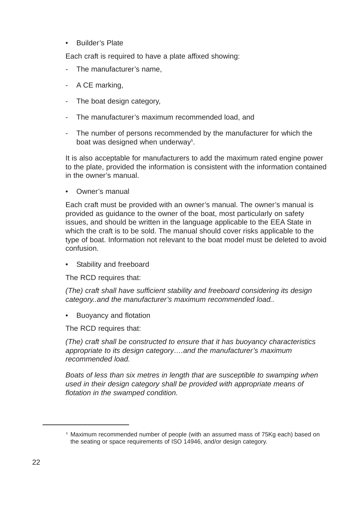• Builder's Plate

Each craft is required to have a plate affixed showing:

- *-* The manufacturer's name,
- A CE marking,
- The boat design category,
- The manufacturer's maximum recommended load, and
- The number of persons recommended by the manufacturer for which the boat was designed when underway<sup>5</sup>.

It is also acceptable for manufacturers to add the maximum rated engine power to the plate, provided the information is consistent with the information contained in the owner's manual.

• Owner's manual

Each craft must be provided with an owner's manual. The owner's manual is provided as guidance to the owner of the boat, most particularly on safety issues, and should be written in the language applicable to the EEA State in which the craft is to be sold. The manual should cover risks applicable to the type of boat. Information not relevant to the boat model must be deleted to avoid confusion.

Stability and freeboard

The RCD requires that:

*(The) craft shall have sufficient stability and freeboard considering its design category..and the manufacturer's maximum recommended load..*

• Buoyancy and flotation

The RCD requires that:

*(The) craft shall be constructed to ensure that it has buoyancy characteristics appropriate to its design category….and the manufacturer's maximum recommended load.*

*Boats of less than six metres in length that are susceptible to swamping when used in their design category shall be provided with appropriate means of flotation in the swamped condition.*

<sup>5</sup> Maximum recommended number of people (with an assumed mass of 75Kg each) based on the seating or space requirements of ISO 14946, and/or design category.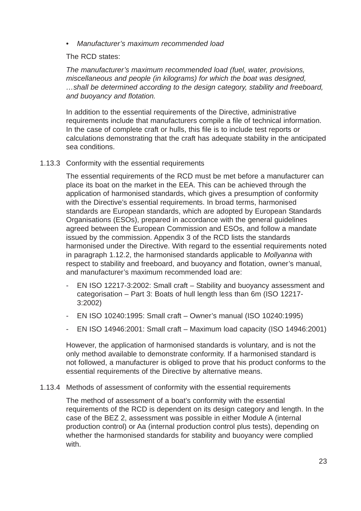• *Manufacturer's maximum recommended load*

The RCD states:

*The manufacturer's maximum recommended load (fuel, water, provisions, miscellaneous and people (in kilograms) for which the boat was designed, …shall be determined according to the design category, stability and freeboard, and buoyancy and flotation.*

In addition to the essential requirements of the Directive, administrative requirements include that manufacturers compile a file of technical information. In the case of complete craft or hulls, this file is to include test reports or calculations demonstrating that the craft has adequate stability in the anticipated sea conditions.

## 1.13.3 Conformity with the essential requirements

The essential requirements of the RCD must be met before a manufacturer can place its boat on the market in the EEA. This can be achieved through the application of harmonised standards, which gives a presumption of conformity with the Directive's essential requirements. In broad terms, harmonised standards are European standards, which are adopted by European Standards Organisations (ESOs), prepared in accordance with the general guidelines agreed between the European Commission and ESOs, and follow a mandate issued by the commission. Appendix 3 of the RCD lists the standards harmonised under the Directive. With regard to the essential requirements noted in paragraph 1.12.2, the harmonised standards applicable to *Mollyanna* with respect to stability and freeboard, and buoyancy and flotation, owner's manual, and manufacturer's maximum recommended load are:

- EN ISO 12217-3:2002: Small craft Stability and buoyancy assessment and categorisation – Part 3: Boats of hull length less than 6m (ISO 12217- 3:2002)
- EN ISO 10240:1995: Small craft Owner's manual (ISO 10240:1995)
- EN ISO 14946:2001: Small craft Maximum load capacity (ISO 14946:2001)

However, the application of harmonised standards is voluntary, and is not the only method available to demonstrate conformity. If a harmonised standard is not followed, a manufacturer is obliged to prove that his product conforms to the essential requirements of the Directive by alternative means.

#### 1.13.4 Methods of assessment of conformity with the essential requirements

The method of assessment of a boat's conformity with the essential requirements of the RCD is dependent on its design category and length. In the case of the BEZ 2, assessment was possible in either Module A (internal production control) or Aa (internal production control plus tests), depending on whether the harmonised standards for stability and buoyancy were complied with.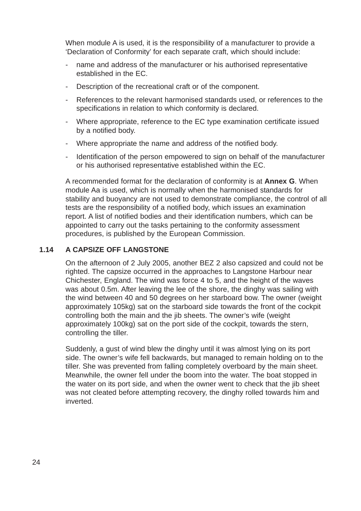When module A is used, it is the responsibility of a manufacturer to provide a 'Declaration of Conformity' for each separate craft, which should include:

- name and address of the manufacturer or his authorised representative established in the EC.
- Description of the recreational craft or of the component.
- References to the relevant harmonised standards used, or references to the specifications in relation to which conformity is declared.
- Where appropriate, reference to the EC type examination certificate issued by a notified body.
- Where appropriate the name and address of the notified body.
- Identification of the person empowered to sign on behalf of the manufacturer or his authorised representative established within the EC.

A recommended format for the declaration of conformity is at **Annex G**. When module Aa is used, which is normally when the harmonised standards for stability and buoyancy are not used to demonstrate compliance, the control of all tests are the responsibility of a notified body, which issues an examination report. A list of notified bodies and their identification numbers, which can be appointed to carry out the tasks pertaining to the conformity assessment procedures, is published by the European Commission.

## **1.14 A CAPSIZE OFF LANGSTONE**

On the afternoon of 2 July 2005, another BEZ 2 also capsized and could not be righted. The capsize occurred in the approaches to Langstone Harbour near Chichester, England. The wind was force 4 to 5, and the height of the waves was about 0.5m. After leaving the lee of the shore, the dinghy was sailing with the wind between 40 and 50 degrees on her starboard bow. The owner (weight approximately 105kg) sat on the starboard side towards the front of the cockpit controlling both the main and the jib sheets. The owner's wife (weight approximately 100kg) sat on the port side of the cockpit, towards the stern, controlling the tiller.

Suddenly, a gust of wind blew the dinghy until it was almost lying on its port side. The owner's wife fell backwards, but managed to remain holding on to the tiller. She was prevented from falling completely overboard by the main sheet. Meanwhile, the owner fell under the boom into the water. The boat stopped in the water on its port side, and when the owner went to check that the jib sheet was not cleated before attempting recovery, the dinghy rolled towards him and inverted.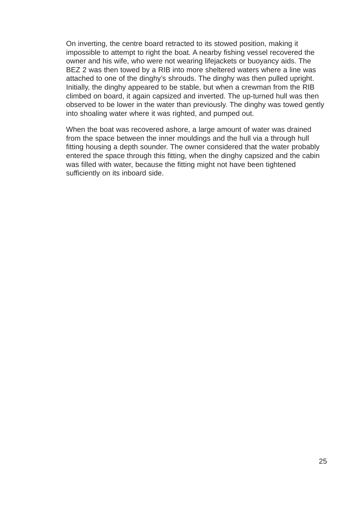On inverting, the centre board retracted to its stowed position, making it impossible to attempt to right the boat. A nearby fishing vessel recovered the owner and his wife, who were not wearing lifejackets or buoyancy aids. The BEZ 2 was then towed by a RIB into more sheltered waters where a line was attached to one of the dinghy's shrouds. The dinghy was then pulled upright. Initially, the dinghy appeared to be stable, but when a crewman from the RIB climbed on board, it again capsized and inverted. The up-turned hull was then observed to be lower in the water than previously. The dinghy was towed gently into shoaling water where it was righted, and pumped out.

When the boat was recovered ashore, a large amount of water was drained from the space between the inner mouldings and the hull via a through hull fitting housing a depth sounder. The owner considered that the water probably entered the space through this fitting, when the dinghy capsized and the cabin was filled with water, because the fitting might not have been tightened sufficiently on its inboard side.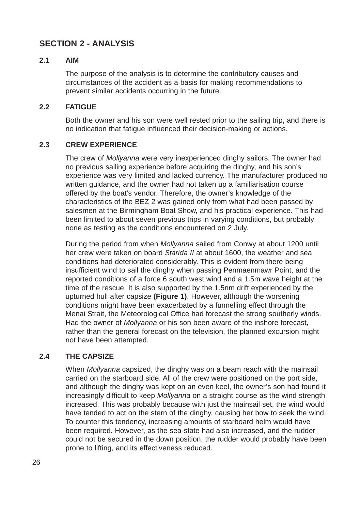# **SECTION 2 - ANALYSIS**

## **2.1 AIM**

The purpose of the analysis is to determine the contributory causes and circumstances of the accident as a basis for making recommendations to prevent similar accidents occurring in the future.

## **2.2 FATIGUE**

Both the owner and his son were well rested prior to the sailing trip, and there is no indication that fatigue influenced their decision-making or actions.

## **2.3 CREW EXPERIENCE**

The crew of *Mollyanna* were very inexperienced dinghy sailors. The owner had no previous sailing experience before acquiring the dinghy, and his son's experience was very limited and lacked currency. The manufacturer produced no written guidance, and the owner had not taken up a familiarisation course offered by the boat's vendor. Therefore, the owner's knowledge of the characteristics of the BEZ 2 was gained only from what had been passed by salesmen at the Birmingham Boat Show, and his practical experience. This had been limited to about seven previous trips in varying conditions, but probably none as testing as the conditions encountered on 2 July.

During the period from when *Mollyanna* sailed from Conwy at about 1200 until her crew were taken on board *Starida II* at about 1600, the weather and sea conditions had deteriorated considerably. This is evident from there being insufficient wind to sail the dinghy when passing Penmaenmawr Point, and the reported conditions of a force 6 south west wind and a 1.5m wave height at the time of the rescue. It is also supported by the 1.5nm drift experienced by the upturned hull after capsize **(Figure 1)**. However, although the worsening conditions might have been exacerbated by a funnelling effect through the Menai Strait, the Meteorological Office had forecast the strong southerly winds. Had the owner of *Mollyanna* or his son been aware of the inshore forecast, rather than the general forecast on the television, the planned excursion might not have been attempted.

## **2.4 THE CAPSIZE**

When *Mollyanna* capsized, the dinghy was on a beam reach with the mainsail carried on the starboard side. All of the crew were positioned on the port side, and although the dinghy was kept on an even keel, the owner's son had found it increasingly difficult to keep *Mollyanna* on a straight course as the wind strength increased. This was probably because with just the mainsail set, the wind would have tended to act on the stern of the dinghy, causing her bow to seek the wind. To counter this tendency, increasing amounts of starboard helm would have been required. However, as the sea-state had also increased, and the rudder could not be secured in the down position, the rudder would probably have been prone to lifting, and its effectiveness reduced.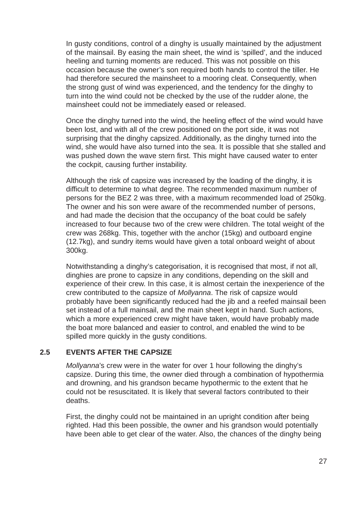In gusty conditions, control of a dinghy is usually maintained by the adjustment of the mainsail. By easing the main sheet, the wind is 'spilled', and the induced heeling and turning moments are reduced. This was not possible on this occasion because the owner's son required both hands to control the tiller. He had therefore secured the mainsheet to a mooring cleat. Consequently, when the strong gust of wind was experienced, and the tendency for the dinghy to turn into the wind could not be checked by the use of the rudder alone, the mainsheet could not be immediately eased or released.

Once the dinghy turned into the wind, the heeling effect of the wind would have been lost, and with all of the crew positioned on the port side, it was not surprising that the dinghy capsized. Additionally, as the dinghy turned into the wind, she would have also turned into the sea. It is possible that she stalled and was pushed down the wave stern first. This might have caused water to enter the cockpit, causing further instability.

Although the risk of capsize was increased by the loading of the dinghy, it is difficult to determine to what degree. The recommended maximum number of persons for the BEZ 2 was three, with a maximum recommended load of 250kg. The owner and his son were aware of the recommended number of persons, and had made the decision that the occupancy of the boat could be safely increased to four because two of the crew were children. The total weight of the crew was 268kg. This, together with the anchor (15kg) and outboard engine (12.7kg), and sundry items would have given a total onboard weight of about 300kg.

Notwithstanding a dinghy's categorisation, it is recognised that most, if not all, dinghies are prone to capsize in any conditions, depending on the skill and experience of their crew. In this case, it is almost certain the inexperience of the crew contributed to the capsize of *Mollyanna*. The risk of capsize would probably have been significantly reduced had the jib and a reefed mainsail been set instead of a full mainsail, and the main sheet kept in hand. Such actions, which a more experienced crew might have taken, would have probably made the boat more balanced and easier to control, and enabled the wind to be spilled more quickly in the gusty conditions.

#### **2.5 EVENTS AFTER THE CAPSIZE**

*Mollyanna*'s crew were in the water for over 1 hour following the dinghy's capsize. During this time, the owner died through a combination of hypothermia and drowning, and his grandson became hypothermic to the extent that he could not be resuscitated. It is likely that several factors contributed to their deaths.

First, the dinghy could not be maintained in an upright condition after being righted. Had this been possible, the owner and his grandson would potentially have been able to get clear of the water. Also, the chances of the dinghy being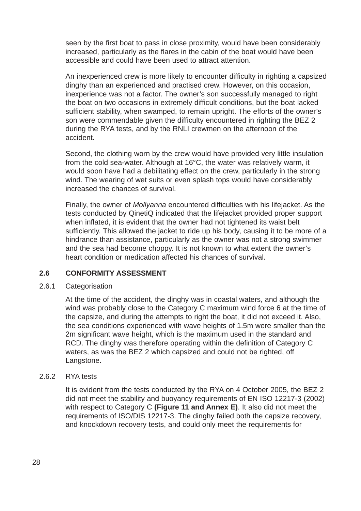seen by the first boat to pass in close proximity, would have been considerably increased, particularly as the flares in the cabin of the boat would have been accessible and could have been used to attract attention.

An inexperienced crew is more likely to encounter difficulty in righting a capsized dinghy than an experienced and practised crew. However, on this occasion, inexperience was not a factor. The owner's son successfully managed to right the boat on two occasions in extremely difficult conditions, but the boat lacked sufficient stability, when swamped, to remain upright. The efforts of the owner's son were commendable given the difficulty encountered in righting the BEZ 2 during the RYA tests, and by the RNLI crewmen on the afternoon of the accident.

Second, the clothing worn by the crew would have provided very little insulation from the cold sea-water. Although at 16°C, the water was relatively warm, it would soon have had a debilitating effect on the crew, particularly in the strong wind. The wearing of wet suits or even splash tops would have considerably increased the chances of survival.

Finally, the owner of *Mollyanna* encountered difficulties with his lifejacket. As the tests conducted by QinetiQ indicated that the lifejacket provided proper support when inflated, it is evident that the owner had not tightened its waist belt sufficiently. This allowed the jacket to ride up his body, causing it to be more of a hindrance than assistance, particularly as the owner was not a strong swimmer and the sea had become choppy. It is not known to what extent the owner's heart condition or medication affected his chances of survival.

#### **2.6 CONFORMITY ASSESSMENT**

#### 2.6.1 Categorisation

At the time of the accident, the dinghy was in coastal waters, and although the wind was probably close to the Category C maximum wind force 6 at the time of the capsize, and during the attempts to right the boat, it did not exceed it. Also, the sea conditions experienced with wave heights of 1.5m were smaller than the 2m significant wave height, which is the maximum used in the standard and RCD. The dinghy was therefore operating within the definition of Category C waters, as was the BEZ 2 which capsized and could not be righted, off Langstone.

#### 2.6.2 RYA tests

It is evident from the tests conducted by the RYA on 4 October 2005, the BEZ 2 did not meet the stability and buoyancy requirements of EN ISO 12217-3 (2002) with respect to Category C **(Figure 11 and Annex E)**. It also did not meet the requirements of ISO/DIS 12217-3. The dinghy failed both the capsize recovery, and knockdown recovery tests, and could only meet the requirements for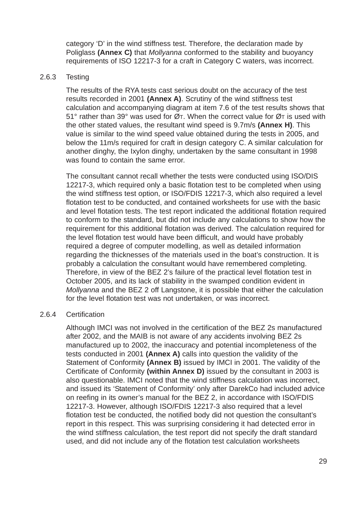category 'D' in the wind stiffness test. Therefore, the declaration made by Poliglass **(Annex C)** that *Mollyanna* conformed to the stability and buoyancy requirements of ISO 12217-3 for a craft in Category C waters, was incorrect.

#### 2.6.3 Testing

The results of the RYA tests cast serious doubt on the accuracy of the test results recorded in 2001 **(Annex A)**. Scrutiny of the wind stiffness test calculation and accompanying diagram at item 7.6 of the test results shows that 51° rather than 39° was used for ØT. When the correct value for ØT is used with the other stated values, the resultant wind speed is 9.7m/s **(Annex H)**. This value is similar to the wind speed value obtained during the tests in 2005, and below the 11m/s required for craft in design category C. A similar calculation for another dinghy, the Ixylon dinghy, undertaken by the same consultant in 1998 was found to contain the same error.

The consultant cannot recall whether the tests were conducted using ISO/DIS 12217-3, which required only a basic flotation test to be completed when using the wind stiffness test option, or ISO/FDIS 12217-3, which also required a level flotation test to be conducted, and contained worksheets for use with the basic and level flotation tests. The test report indicated the additional flotation required to conform to the standard, but did not include any calculations to show how the requirement for this additional flotation was derived. The calculation required for the level flotation test would have been difficult, and would have probably required a degree of computer modelling, as well as detailed information regarding the thicknesses of the materials used in the boat's construction. It is probably a calculation the consultant would have remembered completing. Therefore, in view of the BEZ 2's failure of the practical level flotation test in October 2005, and its lack of stability in the swamped condition evident in *Mollyanna* and the BEZ 2 off Langstone, it is possible that either the calculation for the level flotation test was not undertaken, or was incorrect.

#### 2.6.4 Certification

Although IMCI was not involved in the certification of the BEZ 2s manufactured after 2002, and the MAIB is not aware of any accidents involving BEZ 2s manufactured up to 2002, the inaccuracy and potential incompleteness of the tests conducted in 2001 **(Annex A)** calls into question the validity of the Statement of Conformity **(Annex B)** issued by IMCI in 2001. The validity of the Certificate of Conformity **(within Annex D)** issued by the consultant in 2003 is also questionable. IMCI noted that the wind stiffness calculation was incorrect, and issued its 'Statement of Conformity' only after DarekCo had included advice on reefing in its owner's manual for the BEZ 2, in accordance with ISO/FDIS 12217-3. However, although ISO/FDIS 12217-3 also required that a level flotation test be conducted, the notified body did not question the consultant's report in this respect. This was surprising considering it had detected error in the wind stiffness calculation, the test report did not specify the draft standard used, and did not include any of the flotation test calculation worksheets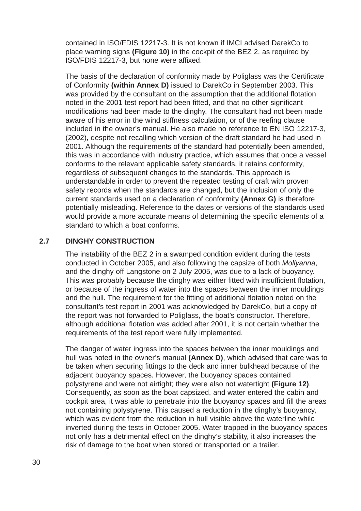contained in ISO/FDIS 12217-3. It is not known if IMCI advised DarekCo to place warning signs **(Figure 10)** in the cockpit of the BEZ 2, as required by ISO/FDIS 12217-3, but none were affixed.

The basis of the declaration of conformity made by Poliglass was the Certificate of Conformity **(within Annex D)** issued to DarekCo in September 2003. This was provided by the consultant on the assumption that the additional flotation noted in the 2001 test report had been fitted, and that no other significant modifications had been made to the dinghy. The consultant had not been made aware of his error in the wind stiffness calculation, or of the reefing clause included in the owner's manual. He also made no reference to EN ISO 12217-3, (2002), despite not recalling which version of the draft standard he had used in 2001. Although the requirements of the standard had potentially been amended, this was in accordance with industry practice, which assumes that once a vessel conforms to the relevant applicable safety standards, it retains conformity, regardless of subsequent changes to the standards. This approach is understandable in order to prevent the repeated testing of craft with proven safety records when the standards are changed, but the inclusion of only the current standards used on a declaration of conformity **(Annex G)** is therefore potentially misleading. Reference to the dates or versions of the standards used would provide a more accurate means of determining the specific elements of a standard to which a boat conforms.

## **2.7 DINGHY CONSTRUCTION**

The instability of the BEZ 2 in a swamped condition evident during the tests conducted in October 2005, and also following the capsize of both *Mollyanna*, and the dinghy off Langstone on 2 July 2005, was due to a lack of buoyancy. This was probably because the dinghy was either fitted with insufficient flotation, or because of the ingress of water into the spaces between the inner mouldings and the hull. The requirement for the fitting of additional flotation noted on the consultant's test report in 2001 was acknowledged by DarekCo, but a copy of the report was not forwarded to Poliglass, the boat's constructor. Therefore, although additional flotation was added after 2001, it is not certain whether the requirements of the test report were fully implemented.

The danger of water ingress into the spaces between the inner mouldings and hull was noted in the owner's manual **(Annex D)**, which advised that care was to be taken when securing fittings to the deck and inner bulkhead because of the adjacent buoyancy spaces. However, the buoyancy spaces contained polystyrene and were not airtight; they were also not watertight **(Figure 12)**. Consequently, as soon as the boat capsized, and water entered the cabin and cockpit area, it was able to penetrate into the buoyancy spaces and fill the areas not containing polystyrene. This caused a reduction in the dinghy's buoyancy, which was evident from the reduction in hull visible above the waterline while inverted during the tests in October 2005. Water trapped in the buoyancy spaces not only has a detrimental effect on the dinghy's stability, it also increases the risk of damage to the boat when stored or transported on a trailer.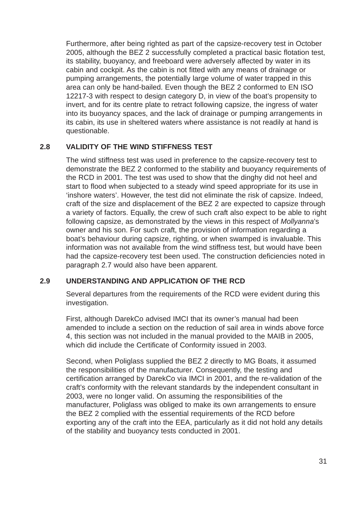Furthermore, after being righted as part of the capsize-recovery test in October 2005, although the BEZ 2 successfully completed a practical basic flotation test, its stability, buoyancy, and freeboard were adversely affected by water in its cabin and cockpit. As the cabin is not fitted with any means of drainage or pumping arrangements, the potentially large volume of water trapped in this area can only be hand-bailed. Even though the BEZ 2 conformed to EN ISO 12217-3 with respect to design category D, in view of the boat's propensity to invert, and for its centre plate to retract following capsize, the ingress of water into its buoyancy spaces, and the lack of drainage or pumping arrangements in its cabin, its use in sheltered waters where assistance is not readily at hand is questionable.

## **2.8 VALIDITY OF THE WIND STIFFNESS TEST**

The wind stiffness test was used in preference to the capsize-recovery test to demonstrate the BEZ 2 conformed to the stability and buoyancy requirements of the RCD in 2001. The test was used to show that the dinghy did not heel and start to flood when subjected to a steady wind speed appropriate for its use in 'inshore waters'. However, the test did not eliminate the risk of capsize. Indeed, craft of the size and displacement of the BEZ 2 are expected to capsize through a variety of factors. Equally, the crew of such craft also expect to be able to right following capsize, as demonstrated by the views in this respect of *Mollyanna*'s owner and his son. For such craft, the provision of information regarding a boat's behaviour during capsize, righting, or when swamped is invaluable. This information was not available from the wind stiffness test, but would have been had the capsize-recovery test been used. The construction deficiencies noted in paragraph 2.7 would also have been apparent.

## **2.9 UNDERSTANDING AND APPLICATION OF THE RCD**

Several departures from the requirements of the RCD were evident during this investigation.

First, although DarekCo advised IMCI that its owner's manual had been amended to include a section on the reduction of sail area in winds above force 4, this section was not included in the manual provided to the MAIB in 2005, which did include the Certificate of Conformity issued in 2003.

Second, when Poliglass supplied the BEZ 2 directly to MG Boats, it assumed the responsibilities of the manufacturer. Consequently, the testing and certification arranged by DarekCo via IMCI in 2001, and the re-validation of the craft's conformity with the relevant standards by the independent consultant in 2003, were no longer valid. On assuming the responsibilities of the manufacturer, Poliglass was obliged to make its own arrangements to ensure the BEZ 2 complied with the essential requirements of the RCD before exporting any of the craft into the EEA, particularly as it did not hold any details of the stability and buoyancy tests conducted in 2001.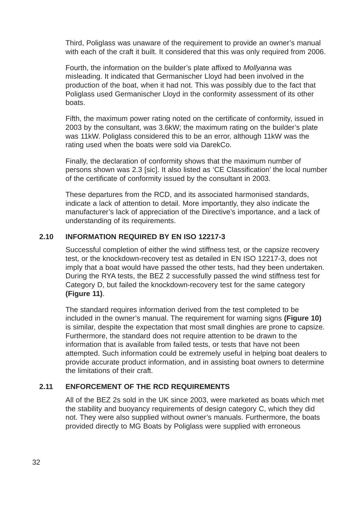Third, Poliglass was unaware of the requirement to provide an owner's manual with each of the craft it built. It considered that this was only required from 2006.

Fourth, the information on the builder's plate affixed to *Mollyanna* was misleading. It indicated that Germanischer Lloyd had been involved in the production of the boat, when it had not. This was possibly due to the fact that Poliglass used Germanischer Lloyd in the conformity assessment of its other boats.

Fifth, the maximum power rating noted on the certificate of conformity, issued in 2003 by the consultant, was 3.6kW; the maximum rating on the builder's plate was 11kW. Poliglass considered this to be an error, although 11kW was the rating used when the boats were sold via DarekCo.

Finally, the declaration of conformity shows that the maximum number of persons shown was 2.3 [sic]. It also listed as 'CE Classification' the local number of the certificate of conformity issued by the consultant in 2003.

These departures from the RCD, and its associated harmonised standards, indicate a lack of attention to detail. More importantly, they also indicate the manufacturer's lack of appreciation of the Directive's importance, and a lack of understanding of its requirements.

## **2.10 INFORMATION REQUIRED BY EN ISO 12217-3**

Successful completion of either the wind stiffness test, or the capsize recovery test, or the knockdown-recovery test as detailed in EN ISO 12217-3, does not imply that a boat would have passed the other tests, had they been undertaken. During the RYA tests, the BEZ 2 successfully passed the wind stiffness test for Category D, but failed the knockdown-recovery test for the same category **(Figure 11)**.

The standard requires information derived from the test completed to be included in the owner's manual. The requirement for warning signs **(Figure 10)** is similar, despite the expectation that most small dinghies are prone to capsize. Furthermore, the standard does not require attention to be drawn to the information that is available from failed tests, or tests that have not been attempted. Such information could be extremely useful in helping boat dealers to provide accurate product information, and in assisting boat owners to determine the limitations of their craft.

## **2.11 ENFORCEMENT OF THE RCD REQUIREMENTS**

All of the BEZ 2s sold in the UK since 2003, were marketed as boats which met the stability and buoyancy requirements of design category C, which they did not. They were also supplied without owner's manuals. Furthermore, the boats provided directly to MG Boats by Poliglass were supplied with erroneous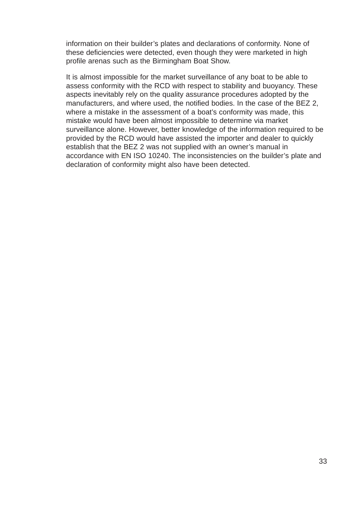information on their builder's plates and declarations of conformity. None of these deficiencies were detected, even though they were marketed in high profile arenas such as the Birmingham Boat Show.

It is almost impossible for the market surveillance of any boat to be able to assess conformity with the RCD with respect to stability and buoyancy. These aspects inevitably rely on the quality assurance procedures adopted by the manufacturers, and where used, the notified bodies. In the case of the BEZ 2, where a mistake in the assessment of a boat's conformity was made, this mistake would have been almost impossible to determine via market surveillance alone. However, better knowledge of the information required to be provided by the RCD would have assisted the importer and dealer to quickly establish that the BEZ 2 was not supplied with an owner's manual in accordance with EN ISO 10240. The inconsistencies on the builder's plate and declaration of conformity might also have been detected.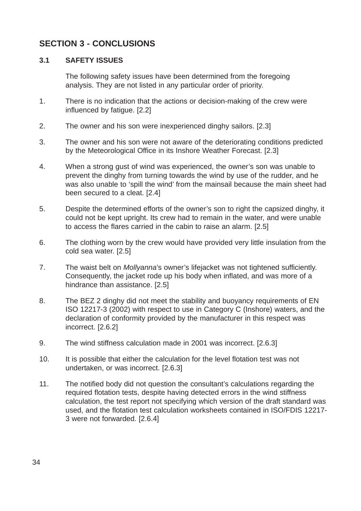## **SECTION 3 - CONCLUSIONS**

## **3.1 SAFETY ISSUES**

The following safety issues have been determined from the foregoing analysis. They are not listed in any particular order of priority.

- 1. There is no indication that the actions or decision-making of the crew were influenced by fatigue. [2.2]
- 2. The owner and his son were inexperienced dinghy sailors. [2.3]
- 3. The owner and his son were not aware of the deteriorating conditions predicted by the Meteorological Office in its Inshore Weather Forecast. [2.3]
- 4. When a strong gust of wind was experienced, the owner's son was unable to prevent the dinghy from turning towards the wind by use of the rudder, and he was also unable to 'spill the wind' from the mainsail because the main sheet had been secured to a cleat. [2.4]
- 5. Despite the determined efforts of the owner's son to right the capsized dinghy, it could not be kept upright. Its crew had to remain in the water, and were unable to access the flares carried in the cabin to raise an alarm. [2.5]
- 6. The clothing worn by the crew would have provided very little insulation from the cold sea water. [2.5]
- 7. The waist belt on *Mollyanna*'s owner's lifejacket was not tightened sufficiently. Consequently, the jacket rode up his body when inflated, and was more of a hindrance than assistance. [2.5]
- 8. The BEZ 2 dinghy did not meet the stability and buoyancy requirements of EN ISO 12217-3 (2002) with respect to use in Category C (Inshore) waters, and the declaration of conformity provided by the manufacturer in this respect was incorrect. [2.6.2]
- 9. The wind stiffness calculation made in 2001 was incorrect. [2.6.3]
- 10. It is possible that either the calculation for the level flotation test was not undertaken, or was incorrect. [2.6.3]
- 11. The notified body did not question the consultant's calculations regarding the required flotation tests, despite having detected errors in the wind stiffness calculation, the test report not specifying which version of the draft standard was used, and the flotation test calculation worksheets contained in ISO/FDIS 12217- 3 were not forwarded. [2.6.4]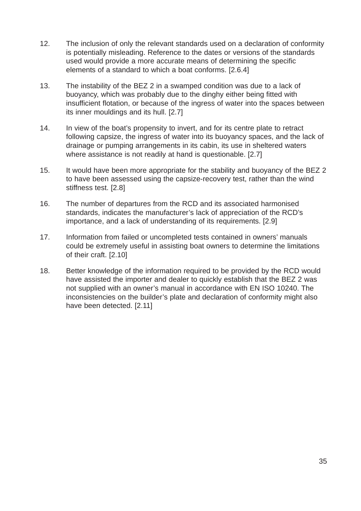- 12. The inclusion of only the relevant standards used on a declaration of conformity is potentially misleading. Reference to the dates or versions of the standards used would provide a more accurate means of determining the specific elements of a standard to which a boat conforms. [2.6.4]
- 13. The instability of the BEZ 2 in a swamped condition was due to a lack of buoyancy, which was probably due to the dinghy either being fitted with insufficient flotation, or because of the ingress of water into the spaces between its inner mouldings and its hull. [2.7]
- 14. In view of the boat's propensity to invert, and for its centre plate to retract following capsize, the ingress of water into its buoyancy spaces, and the lack of drainage or pumping arrangements in its cabin, its use in sheltered waters where assistance is not readily at hand is questionable. [2.7]
- 15. It would have been more appropriate for the stability and buoyancy of the BEZ 2 to have been assessed using the capsize-recovery test, rather than the wind stiffness test. [2.8]
- 16. The number of departures from the RCD and its associated harmonised standards, indicates the manufacturer's lack of appreciation of the RCD's importance, and a lack of understanding of its requirements. [2.9]
- 17. Information from failed or uncompleted tests contained in owners' manuals could be extremely useful in assisting boat owners to determine the limitations of their craft. [2.10]
- 18. Better knowledge of the information required to be provided by the RCD would have assisted the importer and dealer to quickly establish that the BEZ 2 was not supplied with an owner's manual in accordance with EN ISO 10240. The inconsistencies on the builder's plate and declaration of conformity might also have been detected. [2.11]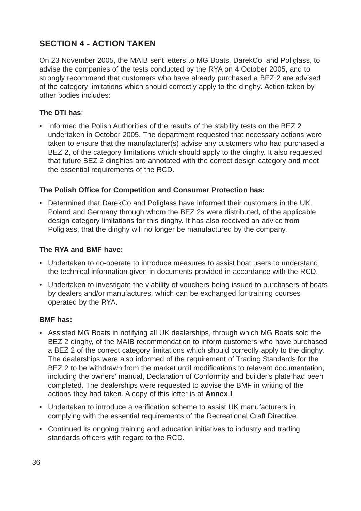# **SECTION 4 - ACTION TAKEN**

On 23 November 2005, the MAIB sent letters to MG Boats, DarekCo, and Poliglass, to advise the companies of the tests conducted by the RYA on 4 October 2005, and to strongly recommend that customers who have already purchased a BEZ 2 are advised of the category limitations which should correctly apply to the dinghy*.* Action taken by other bodies includes:

## **The DTI has**:

• Informed the Polish Authorities of the results of the stability tests on the BEZ 2 undertaken in October 2005. The department requested that necessary actions were taken to ensure that the manufacturer(s) advise any customers who had purchased a BEZ 2, of the category limitations which should apply to the dinghy. It also requested that future BEZ 2 dinghies are annotated with the correct design category and meet the essential requirements of the RCD.

## **The Polish Office for Competition and Consumer Protection has:**

• Determined that DarekCo and Poliglass have informed their customers in the UK, Poland and Germany through whom the BEZ 2s were distributed, of the applicable design category limitations for this dinghy. It has also received an advice from Poliglass, that the dinghy will no longer be manufactured by the company.

## **The RYA and BMF have:**

- Undertaken to co-operate to introduce measures to assist boat users to understand the technical information given in documents provided in accordance with the RCD.
- Undertaken to investigate the viability of vouchers being issued to purchasers of boats by dealers and/or manufactures, which can be exchanged for training courses operated by the RYA.

## **BMF has:**

- Assisted MG Boats in notifying all UK dealerships, through which MG Boats sold the BEZ 2 dinghy, of the MAIB recommendation to inform customers who have purchased a BEZ 2 of the correct category limitations which should correctly apply to the dinghy. The dealerships were also informed of the requirement of Trading Standards for the BEZ 2 to be withdrawn from the market until modifications to relevant documentation, including the owners' manual, Declaration of Conformity and builder's plate had been completed. The dealerships were requested to advise the BMF in writing of the actions they had taken. A copy of this letter is at **Annex I**.
- Undertaken to introduce a verification scheme to assist UK manufacturers in complying with the essential requirements of the Recreational Craft Directive.
- Continued its ongoing training and education initiatives to industry and trading standards officers with regard to the RCD.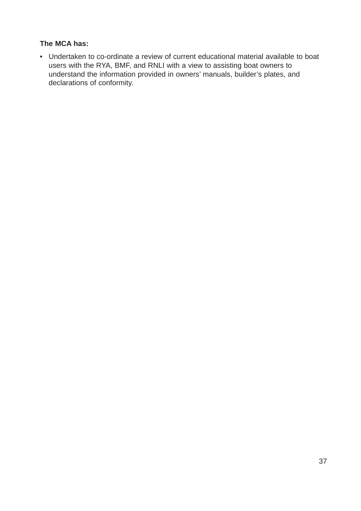## **The MCA has:**

• Undertaken to co-ordinate a review of current educational material available to boat users with the RYA, BMF, and RNLI with a view to assisting boat owners to understand the information provided in owners' manuals, builder's plates, and declarations of conformity.